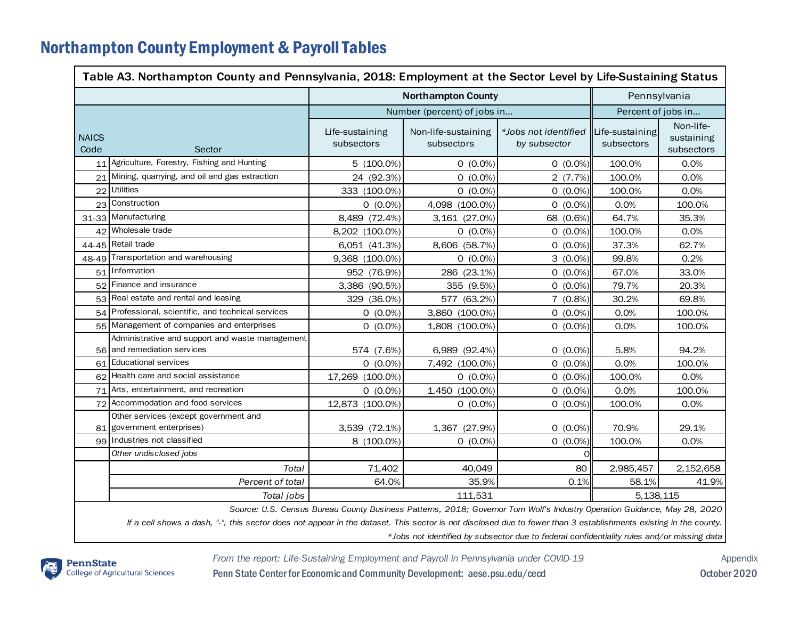## Northampton County Employment & Payroll Tables

| Table A3. Northampton County and Pennsylvania, 2018: Employment at the Sector Level by Life-Sustaining Status                                                    |                                                                                |                               |                                   |                                      |                               |                                       |  |  |  |
|------------------------------------------------------------------------------------------------------------------------------------------------------------------|--------------------------------------------------------------------------------|-------------------------------|-----------------------------------|--------------------------------------|-------------------------------|---------------------------------------|--|--|--|
|                                                                                                                                                                  |                                                                                | <b>Northampton County</b>     |                                   |                                      |                               | Pennsylvania                          |  |  |  |
|                                                                                                                                                                  |                                                                                | Number (percent) of jobs in   |                                   |                                      | Percent of jobs in            |                                       |  |  |  |
| <b>NAICS</b><br>Code                                                                                                                                             | Sector                                                                         | Life-sustaining<br>subsectors | Non-life-sustaining<br>subsectors | *Jobs not identified<br>by subsector | Life-sustaining<br>subsectors | Non-life-<br>sustaining<br>subsectors |  |  |  |
| 11                                                                                                                                                               | Agriculture, Forestry, Fishing and Hunting                                     | $5(100.0\%)$                  | $0(0.0\%)$                        | $0(0.0\%)$                           | 100.0%                        | 0.0%                                  |  |  |  |
| 21                                                                                                                                                               | Mining, quarrying, and oil and gas extraction                                  | 24 (92.3%)                    | $0(0.0\%)$                        | 2(7.7%)                              | 100.0%                        | 0.0%                                  |  |  |  |
| 22                                                                                                                                                               | <b>Utilities</b>                                                               | 333 (100.0%)                  | $0(0.0\%)$                        | $0(0.0\%)$                           | 100.0%                        | 0.0%                                  |  |  |  |
|                                                                                                                                                                  | 23 Construction                                                                | $0(0.0\%)$                    | 4,098 (100.0%)                    | $0(0.0\%)$                           | 0.0%                          | 100.0%                                |  |  |  |
|                                                                                                                                                                  | 31-33 Manufacturing                                                            | 8,489 (72.4%)                 | 3,161 (27.0%)                     | 68 (0.6%)                            | 64.7%                         | 35.3%                                 |  |  |  |
|                                                                                                                                                                  | 42 Wholesale trade                                                             | 8,202 (100.0%)                | $0(0.0\%)$                        | $0(0.0\%)$                           | 100.0%                        | 0.0%                                  |  |  |  |
|                                                                                                                                                                  | 44-45 Retail trade                                                             | 6,051 (41.3%)                 | 8,606 (58.7%)                     | $0(0.0\%)$                           | 37.3%                         | 62.7%                                 |  |  |  |
|                                                                                                                                                                  | 48-49 Transportation and warehousing                                           | 9,368 (100.0%)                | $0(0.0\%)$                        | $3(0.0\%)$                           | 99.8%                         | 0.2%                                  |  |  |  |
|                                                                                                                                                                  | 51 Information                                                                 | 952 (76.9%)                   | 286 (23.1%)                       | $0(0.0\%)$                           | 67.0%                         | 33.0%                                 |  |  |  |
|                                                                                                                                                                  | 52 Finance and insurance                                                       | 3,386 (90.5%)                 | 355 (9.5%)                        | $0(0.0\%)$                           | 79.7%                         | 20.3%                                 |  |  |  |
|                                                                                                                                                                  | 53 Real estate and rental and leasing                                          | 329 (36.0%)                   | 577 (63.2%)                       | 7(0.8%)                              | 30.2%                         | 69.8%                                 |  |  |  |
| 54                                                                                                                                                               | Professional, scientific, and technical services                               | $0(0.0\%)$                    | 3,860 (100.0%)                    | $0(0.0\%)$                           | 0.0%                          | 100.0%                                |  |  |  |
| 55                                                                                                                                                               | Management of companies and enterprises                                        | $0(0.0\%)$                    | 1,808 (100.0%)                    | $0(0.0\%)$                           | 0.0%                          | 100.0%                                |  |  |  |
|                                                                                                                                                                  | Administrative and support and waste management<br>56 and remediation services | 574 (7.6%)                    | 6,989 (92.4%)                     | $0(0.0\%)$                           | 5.8%                          | 94.2%                                 |  |  |  |
|                                                                                                                                                                  | 61 Educational services                                                        | $0(0.0\%)$                    | 7,492 (100.0%)                    | $0(0.0\%)$                           | 0.0%                          | 100.0%                                |  |  |  |
|                                                                                                                                                                  | 62 Health care and social assistance                                           | 17,269 (100.0%)               | $0(0.0\%)$                        | $0(0.0\%)$                           | 100.0%                        | 0.0%                                  |  |  |  |
|                                                                                                                                                                  | 71 Arts, entertainment, and recreation                                         | $0(0.0\%)$                    | 1,450 (100.0%)                    | $0(0.0\%)$                           | 0.0%                          | 100.0%                                |  |  |  |
|                                                                                                                                                                  | 72 Accommodation and food services                                             | 12,873 (100.0%)               | $0(0.0\%)$                        | $0(0.0\%)$                           | 100.0%                        | 0.0%                                  |  |  |  |
|                                                                                                                                                                  | Other services (except government and<br>81 government enterprises)            | 3,539 (72.1%)                 | 1,367 (27.9%)                     | $0(0.0\%)$                           | 70.9%                         | 29.1%                                 |  |  |  |
|                                                                                                                                                                  | 99 Industries not classified                                                   | 8 (100.0%)                    | $0(0.0\%)$                        | $0(0.0\%)$                           | 100.0%                        | 0.0%                                  |  |  |  |
|                                                                                                                                                                  | Other undisclosed jobs                                                         |                               |                                   | 0l                                   |                               |                                       |  |  |  |
|                                                                                                                                                                  | Total                                                                          | 71,402                        | 40,049                            | 80                                   | 2,985,457                     | 2,152,658                             |  |  |  |
|                                                                                                                                                                  | Percent of total                                                               | 64.0%                         | 35.9%                             | 0.1%                                 | 58.1%                         | 41.9%                                 |  |  |  |
|                                                                                                                                                                  | Total jobs                                                                     | 111,531<br>5.138.115          |                                   |                                      |                               |                                       |  |  |  |
| Source: U.S. Census Bureau County Business Patterns, 2018; Governor Tom Wolf's Industry Operation Guidance, May 28, 2020                                         |                                                                                |                               |                                   |                                      |                               |                                       |  |  |  |
| If a cell shows a dash, "-", this sector does not appear in the dataset. This sector is not disclosed due to fewer than 3 establishments existing in the county. |                                                                                |                               |                                   |                                      |                               |                                       |  |  |  |

*\*Jobs not identified by subsector due to federal confidentiality rules and/or missing data*



*From the report: Life-Sustaining Employment and Payroll in Pennsylvania under COVID-19* Appendix